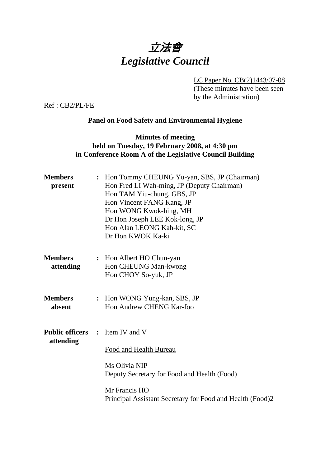

LC Paper No. CB(2)1443/07-08

(These minutes have been seen by the Administration)

Ref : CB2/PL/FE

# **Panel on Food Safety and Environmental Hygiene**

### **Minutes of meeting held on Tuesday, 19 February 2008, at 4:30 pm in Conference Room A of the Legislative Council Building**

| <b>Members</b><br>present           |                | Hon Tommy CHEUNG Yu-yan, SBS, JP (Chairman)<br>Hon Fred LI Wah-ming, JP (Deputy Chairman)<br>Hon TAM Yiu-chung, GBS, JP<br>Hon Vincent FANG Kang, JP<br>Hon WONG Kwok-hing, MH<br>Dr Hon Joseph LEE Kok-long, JP<br>Hon Alan LEONG Kah-kit, SC<br>Dr Hon KWOK Ka-ki |
|-------------------------------------|----------------|---------------------------------------------------------------------------------------------------------------------------------------------------------------------------------------------------------------------------------------------------------------------|
| <b>Members</b><br>attending         |                | : Hon Albert HO Chun-yan<br>Hon CHEUNG Man-kwong<br>Hon CHOY So-yuk, JP                                                                                                                                                                                             |
| <b>Members</b><br>absent            | $\ddot{\cdot}$ | Hon WONG Yung-kan, SBS, JP<br>Hon Andrew CHENG Kar-foo                                                                                                                                                                                                              |
| <b>Public officers</b><br>attending | $\ddot{\cdot}$ | <b>Item IV and V</b><br>Food and Health Bureau<br>Ms Olivia NIP<br>Deputy Secretary for Food and Health (Food)<br>Mr Francis HO<br>Principal Assistant Secretary for Food and Health (Food)2                                                                        |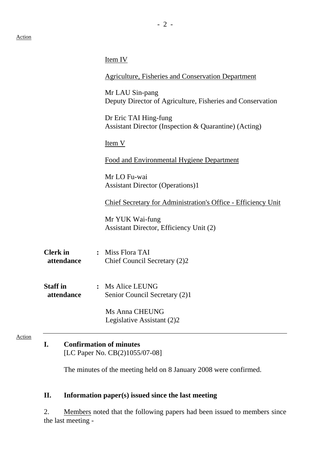|                               | Item IV                                                                        |
|-------------------------------|--------------------------------------------------------------------------------|
|                               | Agriculture, Fisheries and Conservation Department                             |
|                               | Mr LAU Sin-pang<br>Deputy Director of Agriculture, Fisheries and Conservation  |
|                               | Dr Eric TAI Hing-fung<br>Assistant Director (Inspection & Quarantine) (Acting) |
|                               | Item V                                                                         |
|                               | <b>Food and Environmental Hygiene Department</b>                               |
|                               | Mr LO Fu-wai<br><b>Assistant Director (Operations)1</b>                        |
|                               | Chief Secretary for Administration's Office - Efficiency Unit                  |
|                               | Mr YUK Wai-fung<br>Assistant Director, Efficiency Unit (2)                     |
| <b>Clerk</b> in<br>attendance | : Miss Flora TAI<br>Chief Council Secretary (2)2                               |
| <b>Staff in</b><br>attendance | : Ms Alice LEUNG<br>Senior Council Secretary (2)1                              |
|                               | <b>Ms Anna CHEUNG</b><br>Legislative Assistant (2)2                            |
|                               |                                                                                |

#### Action

#### **I. Confirmation of minutes**

[LC Paper No. CB(2)1055/07-08]

The minutes of the meeting held on 8 January 2008 were confirmed.

#### **II. Information paper(s) issued since the last meeting**

2. Members noted that the following papers had been issued to members since the last meeting -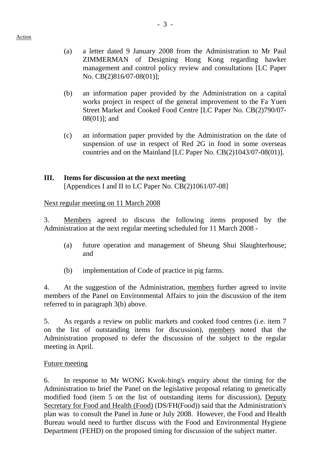- (a) a letter dated 9 January 2008 from the Administration to Mr Paul ZIMMERMAN of Designing Hong Kong regarding hawker management and control policy review and consultations [LC Paper No. CB(2)816/07-08(01)];
- (b) an information paper provided by the Administration on a capital works project in respect of the general improvement to the Fa Yuen Street Market and Cooked Food Centre [LC Paper No. CB(2)790/07- 08(01)]; and
- (c) an information paper provided by the Administration on the date of suspension of use in respect of Red 2G in food in some overseas countries and on the Mainland [LC Paper No. CB(2)1043/07-08(01)].

### **III. Items for discussion at the next meeting**

[Appendices I and II to LC Paper No. CB(2)1061/07-08]

Next regular meeting on 11 March 2008

3. Members agreed to discuss the following items proposed by the Administration at the next regular meeting scheduled for 11 March 2008 -

- (a) future operation and management of Sheung Shui Slaughterhouse; and
- (b) implementation of Code of practice in pig farms.

4. At the suggestion of the Administration, members further agreed to invite members of the Panel on Environmental Affairs to join the discussion of the item referred to in paragraph 3(b) above.

5. As regards a review on public markets and cooked food centres (i.e. item 7 on the list of outstanding items for discussion), members noted that the Administration proposed to defer the discussion of the subject to the regular meeting in April.

#### Future meeting

6. In response to Mr WONG Kwok-hing's enquiry about the timing for the Administration to brief the Panel on the legislative proposal relating to genetically modified food (item 5 on the list of outstanding items for discussion), Deputy Secretary for Food and Health (Food) (DS/FH(Food)) said that the Administration's plan was to consult the Panel in June or July 2008. However, the Food and Health Bureau would need to further discuss with the Food and Environmental Hygiene Department (FEHD) on the proposed timing for discussion of the subject matter.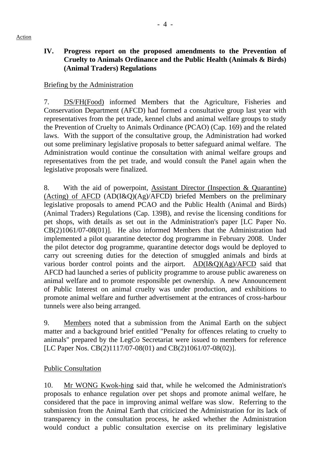### **IV. Progress report on the proposed amendments to the Prevention of Cruelty to Animals Ordinance and the Public Health (Animals & Birds) (Animal Traders) Regulations**

#### Briefing by the Administration

7. DS/FH(Food) informed Members that the Agriculture, Fisheries and Conservation Department (AFCD) had formed a consultative group last year with representatives from the pet trade, kennel clubs and animal welfare groups to study the Prevention of Cruelty to Animals Ordinance (PCAO) (Cap. 169) and the related laws. With the support of the consultative group, the Administration had worked out some preliminary legislative proposals to better safeguard animal welfare. The Administration would continue the consultation with animal welfare groups and representatives from the pet trade, and would consult the Panel again when the legislative proposals were finalized.

8. With the aid of powerpoint, Assistant Director (Inspection & Quarantine) (Acting) of AFCD  $(AD(I&Q)(Ag)/AFCD)$  briefed Members on the preliminary legislative proposals to amend PCAO and the Public Health (Animal and Birds) (Animal Traders) Regulations (Cap. 139B), and revise the licensing conditions for pet shops, with details as set out in the Administration's paper [LC Paper No. CB(2)1061/07-08(01)]. He also informed Members that the Administration had implemented a pilot quarantine detector dog programme in February 2008. Under the pilot detector dog programme, quarantine detector dogs would be deployed to carry out screening duties for the detection of smuggled animals and birds at various border control points and the airport.  $AD(I&Q)(Ag)/AFCD$  said that AFCD had launched a series of publicity programme to arouse public awareness on animal welfare and to promote responsible pet ownership. A new Announcement of Public Interest on animal cruelty was under production, and exhibitions to promote animal welfare and further advertisement at the entrances of cross-harbour tunnels were also being arranged.

9. Members noted that a submission from the Animal Earth on the subject matter and a background brief entitled "Penalty for offences relating to cruelty to animals" prepared by the LegCo Secretariat were issued to members for reference [LC Paper Nos. CB(2)1117/07-08(01) and CB(2)1061/07-08(02)].

#### Public Consultation

10. Mr WONG Kwok-hing said that, while he welcomed the Administration's proposals to enhance regulation over pet shops and promote animal welfare, he considered that the pace in improving animal welfare was slow. Referring to the submission from the Animal Earth that criticized the Administration for its lack of transparency in the consultation process, he asked whether the Administration would conduct a public consultation exercise on its preliminary legislative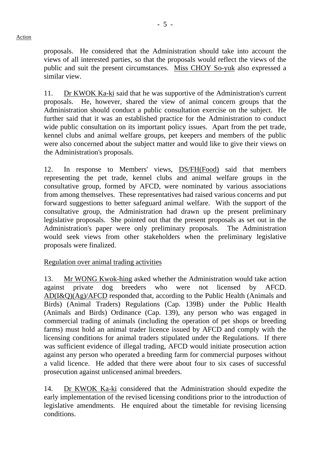proposals. He considered that the Administration should take into account the views of all interested parties, so that the proposals would reflect the views of the public and suit the present circumstances. Miss CHOY So-yuk also expressed a similar view.

11. Dr KWOK Ka-ki said that he was supportive of the Administration's current proposals. He, however, shared the view of animal concern groups that the Administration should conduct a public consultation exercise on the subject. He further said that it was an established practice for the Administration to conduct wide public consultation on its important policy issues. Apart from the pet trade, kennel clubs and animal welfare groups, pet keepers and members of the public were also concerned about the subject matter and would like to give their views on the Administration's proposals.

12. In response to Members' views, DS/FH(Food) said that members representing the pet trade, kennel clubs and animal welfare groups in the consultative group, formed by AFCD, were nominated by various associations from among themselves. These representatives had raised various concerns and put forward suggestions to better safeguard animal welfare. With the support of the consultative group, the Administration had drawn up the present preliminary legislative proposals. She pointed out that the present proposals as set out in the Administration's paper were only preliminary proposals. The Administration would seek views from other stakeholders when the preliminary legislative proposals were finalized.

Regulation over animal trading activities

13. Mr WONG Kwok-hing asked whether the Administration would take action against private dog breeders who were not licensed by AFCD. AD(I&Q)(Ag)/AFCD responded that, according to the Public Health (Animals and Birds) (Animal Traders) Regulations (Cap. 139B) under the Public Health (Animals and Birds) Ordinance (Cap. 139), any person who was engaged in commercial trading of animals (including the operation of pet shops or breeding farms) must hold an animal trader licence issued by AFCD and comply with the licensing conditions for animal traders stipulated under the Regulations. If there was sufficient evidence of illegal trading, AFCD would initiate prosecution action against any person who operated a breeding farm for commercial purposes without a valid licence. He added that there were about four to six cases of successful prosecution against unlicensed animal breeders.

14. Dr KWOK Ka-ki considered that the Administration should expedite the early implementation of the revised licensing conditions prior to the introduction of legislative amendments. He enquired about the timetable for revising licensing conditions.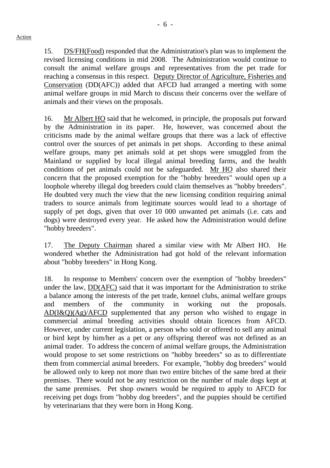15. DS/FH(Food) responded that the Administration's plan was to implement the revised licensing conditions in mid 2008. The Administration would continue to consult the animal welfare groups and representatives from the pet trade for reaching a consensus in this respect. Deputy Director of Agriculture, Fisheries and Conservation (DD(AFC)) added that AFCD had arranged a meeting with some animal welfare groups in mid March to discuss their concerns over the welfare of animals and their views on the proposals.

16. Mr Albert HO said that he welcomed, in principle, the proposals put forward by the Administration in its paper. He, however, was concerned about the criticisms made by the animal welfare groups that there was a lack of effective control over the sources of pet animals in pet shops. According to these animal welfare groups, many pet animals sold at pet shops were smuggled from the Mainland or supplied by local illegal animal breeding farms, and the health conditions of pet animals could not be safeguarded. Mr HO also shared their concern that the proposed exemption for the "hobby breeders" would open up a loophole whereby illegal dog breeders could claim themselves as "hobby breeders". He doubted very much the view that the new licensing condition requiring animal traders to source animals from legitimate sources would lead to a shortage of supply of pet dogs, given that over 10 000 unwanted pet animals (i.e. cats and dogs) were destroyed every year. He asked how the Administration would define "hobby breeders".

17. The Deputy Chairman shared a similar view with Mr Albert HO. He wondered whether the Administration had got hold of the relevant information about "hobby breeders" in Hong Kong.

18. In response to Members' concern over the exemption of "hobby breeders" under the law, DD(AFC) said that it was important for the Administration to strike a balance among the interests of the pet trade, kennel clubs, animal welfare groups and members of the community in working out the proposals.  $AD(I&Q)(Ag)/AFCD$  supplemented that any person who wished to engage in commercial animal breeding activities should obtain licences from AFCD. However, under current legislation, a person who sold or offered to sell any animal or bird kept by him/her as a pet or any offspring thereof was not defined as an animal trader. To address the concern of animal welfare groups, the Administration would propose to set some restrictions on "hobby breeders" so as to differentiate them from commercial animal breeders. For example, "hobby dog breeders" would be allowed only to keep not more than two entire bitches of the same bred at their premises. There would not be any restriction on the number of male dogs kept at the same premises. Pet shop owners would be required to apply to AFCD for receiving pet dogs from "hobby dog breeders", and the puppies should be certified by veterinarians that they were born in Hong Kong.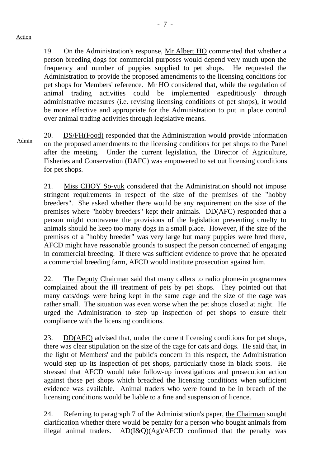19. On the Administration's response, Mr Albert HO commented that whether a person breeding dogs for commercial purposes would depend very much upon the frequency and number of puppies supplied to pet shops. He requested the Administration to provide the proposed amendments to the licensing conditions for pet shops for Members' reference. Mr HO considered that, while the regulation of animal trading activities could be implemented expeditiously through administrative measures (i.e. revising licensing conditions of pet shops), it would be more effective and appropriate for the Administration to put in place control over animal trading activities through legislative means.

20. DS/FH(Food) responded that the Administration would provide information on the proposed amendments to the licensing conditions for pet shops to the Panel after the meeting. Under the current legislation, the Director of Agriculture, Fisheries and Conservation (DAFC) was empowered to set out licensing conditions for pet shops.

> 21. Miss CHOY So-yuk considered that the Administration should not impose stringent requirements in respect of the size of the premises of the "hobby breeders". She asked whether there would be any requirement on the size of the premises where "hobby breeders" kept their animals. DD(AFC) responded that a person might contravene the provisions of the legislation preventing cruelty to animals should he keep too many dogs in a small place. However, if the size of the premises of a "hobby breeder" was very large but many puppies were bred there, AFCD might have reasonable grounds to suspect the person concerned of engaging in commercial breeding. If there was sufficient evidence to prove that he operated a commercial breeding farm, AFCD would institute prosecution against him.

> 22. The Deputy Chairman said that many callers to radio phone-in programmes complained about the ill treatment of pets by pet shops. They pointed out that many cats/dogs were being kept in the same cage and the size of the cage was rather small. The situation was even worse when the pet shops closed at night. He urged the Administration to step up inspection of pet shops to ensure their compliance with the licensing conditions.

> 23. DD(AFC) advised that, under the current licensing conditions for pet shops, there was clear stipulation on the size of the cage for cats and dogs. He said that, in the light of Members' and the public's concern in this respect, the Administration would step up its inspection of pet shops, particularly those in black spots. He stressed that AFCD would take follow-up investigations and prosecution action against those pet shops which breached the licensing conditions when sufficient evidence was available. Animal traders who were found to be in breach of the licensing conditions would be liable to a fine and suspension of licence.

> 24. Referring to paragraph 7 of the Administration's paper, the Chairman sought clarification whether there would be penalty for a person who bought animals from illegal animal traders.  $AD(I&Q)(Ag)/AFCD$  confirmed that the penalty was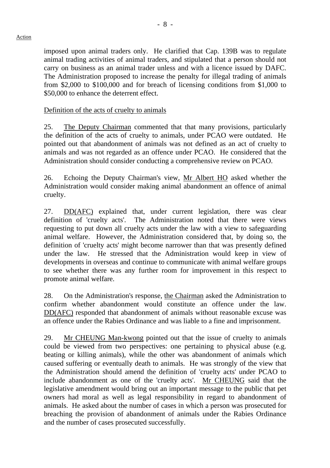imposed upon animal traders only. He clarified that Cap. 139B was to regulate animal trading activities of animal traders, and stipulated that a person should not carry on business as an animal trader unless and with a licence issued by DAFC. The Administration proposed to increase the penalty for illegal trading of animals from \$2,000 to \$100,000 and for breach of licensing conditions from \$1,000 to \$50,000 to enhance the deterrent effect.

#### Definition of the acts of cruelty to animals

25. The Deputy Chairman commented that that many provisions, particularly the definition of the acts of cruelty to animals, under PCAO were outdated. He pointed out that abandonment of animals was not defined as an act of cruelty to animals and was not regarded as an offence under PCAO. He considered that the Administration should consider conducting a comprehensive review on PCAO.

26. Echoing the Deputy Chairman's view, Mr Albert HO asked whether the Administration would consider making animal abandonment an offence of animal cruelty.

27. DD(AFC) explained that, under current legislation, there was clear definition of 'cruelty acts'. The Administration noted that there were views requesting to put down all cruelty acts under the law with a view to safeguarding animal welfare. However, the Administration considered that, by doing so, the definition of 'cruelty acts' might become narrower than that was presently defined under the law. He stressed that the Administration would keep in view of developments in overseas and continue to communicate with animal welfare groups to see whether there was any further room for improvement in this respect to promote animal welfare.

28. On the Administration's response, the Chairman asked the Administration to confirm whether abandonment would constitute an offence under the law. DD(AFC) responded that abandonment of animals without reasonable excuse was an offence under the Rabies Ordinance and was liable to a fine and imprisonment.

29. Mr CHEUNG Man-kwong pointed out that the issue of cruelty to animals could be viewed from two perspectives: one pertaining to physical abuse (e.g. beating or killing animals), while the other was abandonment of animals which caused suffering or eventually death to animals. He was strongly of the view that the Administration should amend the definition of 'cruelty acts' under PCAO to include abandonment as one of the 'cruelty acts'. Mr CHEUNG said that the legislative amendment would bring out an important message to the public that pet owners had moral as well as legal responsibility in regard to abandonment of animals. He asked about the number of cases in which a person was prosecuted for breaching the provision of abandonment of animals under the Rabies Ordinance and the number of cases prosecuted successfully.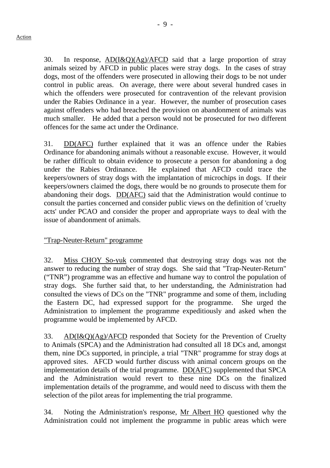30. In response, AD(I&Q)(Ag)/AFCD said that a large proportion of stray animals seized by AFCD in public places were stray dogs. In the cases of stray dogs, most of the offenders were prosecuted in allowing their dogs to be not under control in public areas. On average, there were about several hundred cases in which the offenders were prosecuted for contravention of the relevant provision under the Rabies Ordinance in a year. However, the number of prosecution cases against offenders who had breached the provision on abandonment of animals was much smaller. He added that a person would not be prosecuted for two different

31. DD(AFC) further explained that it was an offence under the Rabies Ordinance for abandoning animals without a reasonable excuse. However, it would be rather difficult to obtain evidence to prosecute a person for abandoning a dog under the Rabies Ordinance. He explained that AFCD could trace the keepers/owners of stray dogs with the implantation of microchips in dogs. If their keepers/owners claimed the dogs, there would be no grounds to prosecute them for abandoning their dogs. DD(AFC) said that the Administration would continue to consult the parties concerned and consider public views on the definition of 'cruelty acts' under PCAO and consider the proper and appropriate ways to deal with the issue of abandonment of animals.

#### "Trap-Neuter-Return" programme

offences for the same act under the Ordinance.

32. Miss CHOY So-yuk commented that destroying stray dogs was not the answer to reducing the number of stray dogs. She said that "Trap-Neuter-Return" ("TNR") programme was an effective and humane way to control the population of stray dogs. She further said that, to her understanding, the Administration had consulted the views of DCs on the "TNR" programme and some of them, including the Eastern DC, had expressed support for the programme. She urged the Administration to implement the programme expeditiously and asked when the programme would be implemented by AFCD.

33. AD(I&Q)(Ag)/AFCD responded that Society for the Prevention of Cruelty to Animals (SPCA) and the Administration had consulted all 18 DCs and, amongst them, nine DCs supported, in principle, a trial "TNR" programme for stray dogs at approved sites. AFCD would further discuss with animal concern groups on the implementation details of the trial programme. DD(AFC) supplemented that SPCA and the Administration would revert to these nine DCs on the finalized implementation details of the programme, and would need to discuss with them the selection of the pilot areas for implementing the trial programme.

34. Noting the Administration's response, Mr Albert HO questioned why the Administration could not implement the programme in public areas which were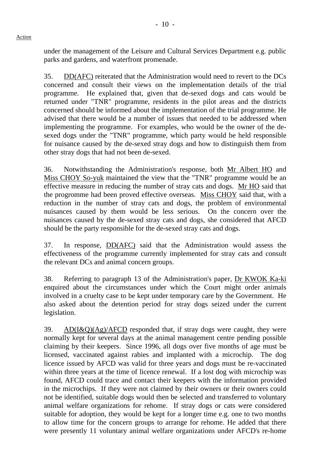Action

under the management of the Leisure and Cultural Services Department e.g. public parks and gardens, and waterfront promenade.

35. DD(AFC) reiterated that the Administration would need to revert to the DCs concerned and consult their views on the implementation details of the trial programme. He explained that, given that de-sexed dogs and cats would be returned under "TNR" programme, residents in the pilot areas and the districts concerned should be informed about the implementation of the trial programme. He advised that there would be a number of issues that needed to be addressed when implementing the programme. For examples, who would be the owner of the desexed dogs under the "TNR" programme, which party would be held responsible for nuisance caused by the de-sexed stray dogs and how to distinguish them from other stray dogs that had not been de-sexed.

36. Notwithstanding the Administration's response, both Mr Albert HO and Miss CHOY So-yuk maintained the view that the "TNR" programme would be an effective measure in reducing the number of stray cats and dogs. Mr HO said that the progromme had been proved effective overseas. Miss CHOY said that, with a reduction in the number of stray cats and dogs, the problem of environmental nuisances caused by them would be less serious. On the concern over the nuisances caused by the de-sexed stray cats and dogs, she considered that AFCD should be the party responsible for the de-sexed stray cats and dogs.

37. In response, DD(AFC) said that the Administration would assess the effectiveness of the programme currently implemented for stray cats and consult the relevant DCs and animal concern groups.

38. Referring to paragraph 13 of the Administration's paper, Dr KWOK Ka-ki enquired about the circumstances under which the Court might order animals involved in a cruelty case to be kept under temporary care by the Government. He also asked about the detention period for stray dogs seized under the current legislation.

39. AD $(I&Q)(Ag)/AFCD$  responded that, if stray dogs were caught, they were normally kept for several days at the animal management centre pending possible claiming by their keepers. Since 1996, all dogs over five months of age must be licensed, vaccinated against rabies and implanted with a microchip. The dog licence issued by AFCD was valid for three years and dogs must be re-vaccinated within three years at the time of licence renewal. If a lost dog with microchip was found, AFCD could trace and contact their keepers with the information provided in the microchips. If they were not claimed by their owners or their owners could not be identified, suitable dogs would then be selected and transferred to voluntary animal welfare organizations for rehome. If stray dogs or cats were considered suitable for adoption, they would be kept for a longer time e.g. one to two months to allow time for the concern groups to arrange for rehome. He added that there were presently 11 voluntary animal welfare organizations under AFCD's re-home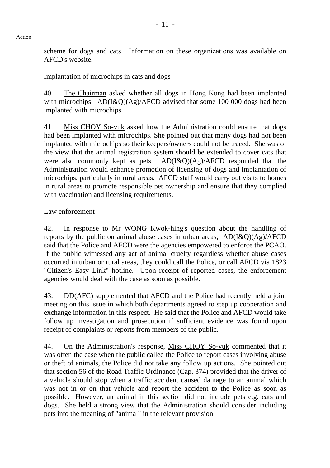scheme for dogs and cats. Information on these organizations was available on AFCD's website.

# Implantation of microchips in cats and dogs

40. The Chairman asked whether all dogs in Hong Kong had been implanted with microchips.  $AD(I&Q)(Ag)/AFCD$  advised that some 100 000 dogs had been implanted with microchips.

41. Miss CHOY So-yuk asked how the Administration could ensure that dogs had been implanted with microchips. She pointed out that many dogs had not been implanted with microchips so their keepers/owners could not be traced. She was of the view that the animal registration system should be extended to cover cats that were also commonly kept as pets. AD(I&Q)(Ag)/AFCD responded that the Administration would enhance promotion of licensing of dogs and implantation of microchips, particularly in rural areas. AFCD staff would carry out visits to homes in rural areas to promote responsible pet ownership and ensure that they complied with vaccination and licensing requirements.

# Law enforcement

42. In response to Mr WONG Kwok-hing's question about the handling of reports by the public on animal abuse cases in urban areas,  $AD(I&Q)(Ag)/AFCD$ said that the Police and AFCD were the agencies empowered to enforce the PCAO. If the public witnessed any act of animal cruelty regardless whether abuse cases occurred in urban or rural areas, they could call the Police, or call AFCD via 1823 "Citizen's Easy Link" hotline. Upon receipt of reported cases, the enforcement agencies would deal with the case as soon as possible.

43. DD(AFC) supplemented that AFCD and the Police had recently held a joint meeting on this issue in which both departments agreed to step up cooperation and exchange information in this respect. He said that the Police and AFCD would take follow up investigation and prosecution if sufficient evidence was found upon receipt of complaints or reports from members of the public.

44. On the Administration's response, Miss CHOY So-yuk commented that it was often the case when the public called the Police to report cases involving abuse or theft of animals, the Police did not take any follow up actions. She pointed out that section 56 of the Road Traffic Ordinance (Cap. 374) provided that the driver of a vehicle should stop when a traffic accident caused damage to an animal which was not in or on that vehicle and report the accident to the Police as soon as possible. However, an animal in this section did not include pets e.g. cats and dogs. She held a strong view that the Administration should consider including pets into the meaning of "animal" in the relevant provision.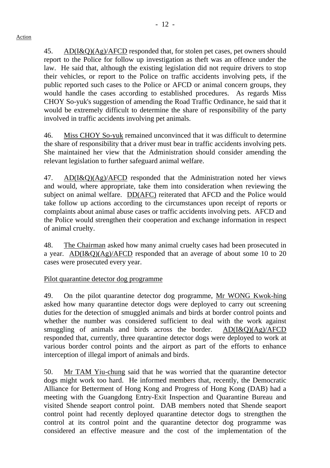45. AD(I&Q)(Ag)/AFCD responded that, for stolen pet cases, pet owners should report to the Police for follow up investigation as theft was an offence under the law. He said that, although the existing legislation did not require drivers to stop their vehicles, or report to the Police on traffic accidents involving pets, if the public reported such cases to the Police or AFCD or animal concern groups, they would handle the cases according to established procedures. As regards Miss CHOY So-yuk's suggestion of amending the Road Traffic Ordinance, he said that it would be extremely difficult to determine the share of responsibility of the party involved in traffic accidents involving pet animals.

46. Miss CHOY So-yuk remained unconvinced that it was difficult to determine the share of responsibility that a driver must bear in traffic accidents involving pets. She maintained her view that the Administration should consider amending the relevant legislation to further safeguard animal welfare.

47. AD(I&Q)(Ag)/AFCD responded that the Administration noted her views and would, where appropriate, take them into consideration when reviewing the subject on animal welfare. DD(AFC) reiterated that AFCD and the Police would take follow up actions according to the circumstances upon receipt of reports or complaints about animal abuse cases or traffic accidents involving pets. AFCD and the Police would strengthen their cooperation and exchange information in respect of animal cruelty.

48. The Chairman asked how many animal cruelty cases had been prosecuted in a year. AD(I&Q)(Ag)/AFCD responded that an average of about some 10 to 20 cases were prosecuted every year.

## Pilot quarantine detector dog programme

49. On the pilot quarantine detector dog programme, Mr WONG Kwok-hing asked how many quarantine detector dogs were deployed to carry out screening duties for the detection of smuggled animals and birds at border control points and whether the number was considered sufficient to deal with the work against smuggling of animals and birds across the border. AD(I&Q)(Ag)/AFCD responded that, currently, three quarantine detector dogs were deployed to work at various border control points and the airport as part of the efforts to enhance interception of illegal import of animals and birds.

50. Mr TAM Yiu-chung said that he was worried that the quarantine detector dogs might work too hard. He informed members that, recently, the Democratic Alliance for Betterment of Hong Kong and Progress of Hong Kong (DAB) had a meeting with the Guangdong Entry-Exit Inspection and Quarantine Bureau and visited Shende seaport control point. DAB members noted that Shende seaport control point had recently deployed quarantine detector dogs to strengthen the control at its control point and the quarantine detector dog programme was considered an effective measure and the cost of the implementation of the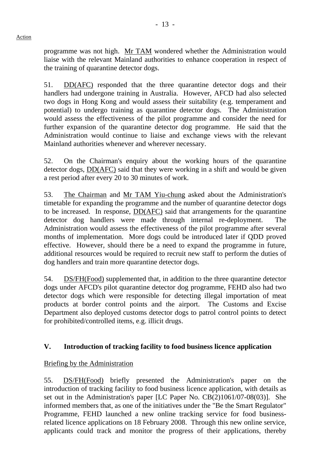programme was not high. Mr TAM wondered whether the Administration would liaise with the relevant Mainland authorities to enhance cooperation in respect of the training of quarantine detector dogs.

51. DD(AFC) responded that the three quarantine detector dogs and their handlers had undergone training in Australia. However, AFCD had also selected two dogs in Hong Kong and would assess their suitability (e.g. temperament and potential) to undergo training as quarantine detector dogs. The Administration would assess the effectiveness of the pilot programme and consider the need for further expansion of the quarantine detector dog programme. He said that the Administration would continue to liaise and exchange views with the relevant Mainland authorities whenever and wherever necessary.

52. On the Chairman's enquiry about the working hours of the quarantine detector dogs, DD(AFC) said that they were working in a shift and would be given a rest period after every 20 to 30 minutes of work.

53. The Chairman and Mr TAM Yiu-chung asked about the Administration's timetable for expanding the programme and the number of quarantine detector dogs to be increased. In response, DD(AFC) said that arrangements for the quarantine detector dog handlers were made through internal re-deployment. Administration would assess the effectiveness of the pilot programme after several months of implementation. More dogs could be introduced later if QDD proved effective. However, should there be a need to expand the programme in future, additional resources would be required to recruit new staff to perform the duties of dog handlers and train more quarantine detector dogs.

54. DS/FH(Food) supplemented that, in addition to the three quarantine detector dogs under AFCD's pilot quarantine detector dog programme, FEHD also had two detector dogs which were responsible for detecting illegal importation of meat products at border control points and the airport. The Customs and Excise Department also deployed customs detector dogs to patrol control points to detect for prohibited/controlled items, e.g. illicit drugs.

#### **V. Introduction of tracking facility to food business licence application**

Briefing by the Administration

55. DS/FH(Food) briefly presented the Administration's paper on the introduction of tracking facility to food business licence application, with details as set out in the Administration's paper [LC Paper No. CB(2)1061/07-08(03)]. She informed members that, as one of the initiatives under the "Be the Smart Regulator" Programme, FEHD launched a new online tracking service for food businessrelated licence applications on 18 February 2008. Through this new online service, applicants could track and monitor the progress of their applications, thereby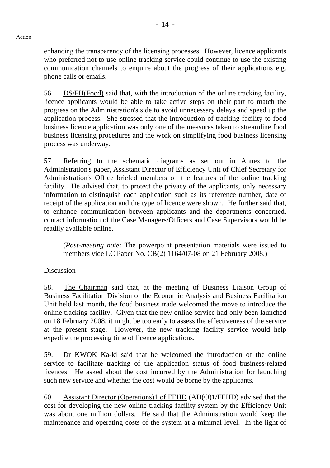enhancing the transparency of the licensing processes. However, licence applicants who preferred not to use online tracking service could continue to use the existing communication channels to enquire about the progress of their applications e.g. phone calls or emails.

56. DS/FH(Food) said that, with the introduction of the online tracking facility, licence applicants would be able to take active steps on their part to match the progress on the Administration's side to avoid unnecessary delays and speed up the application process. She stressed that the introduction of tracking facility to food business licence application was only one of the measures taken to streamline food business licensing procedures and the work on simplifying food business licensing process was underway.

57. Referring to the schematic diagrams as set out in Annex to the Administration's paper, Assistant Director of Efficiency Unit of Chief Secretary for Administration's Office briefed members on the features of the online tracking facility. He advised that, to protect the privacy of the applicants, only necessary information to distinguish each application such as its reference number, date of receipt of the application and the type of licence were shown. He further said that, to enhance communication between applicants and the departments concerned, contact information of the Case Managers/Officers and Case Supervisors would be readily available online.

(*Post-meeting note*: The powerpoint presentation materials were issued to members vide LC Paper No. CB(2) 1164/07-08 on 21 February 2008.)

#### Discussion

58. The Chairman said that, at the meeting of Business Liaison Group of Business Facilitation Division of the Economic Analysis and Business Facilitation Unit held last month, the food business trade welcomed the move to introduce the online tracking facility. Given that the new online service had only been launched on 18 February 2008, it might be too early to assess the effectiveness of the service at the present stage. However, the new tracking facility service would help expedite the processing time of licence applications.

59. Dr KWOK Ka-ki said that he welcomed the introduction of the online service to facilitate tracking of the application status of food business-related licences. He asked about the cost incurred by the Administration for launching such new service and whether the cost would be borne by the applicants.

60. Assistant Director (Operations)1 of FEHD (AD(O)1/FEHD) advised that the cost for developing the new online tracking facility system by the Efficiency Unit was about one million dollars. He said that the Administration would keep the maintenance and operating costs of the system at a minimal level. In the light of